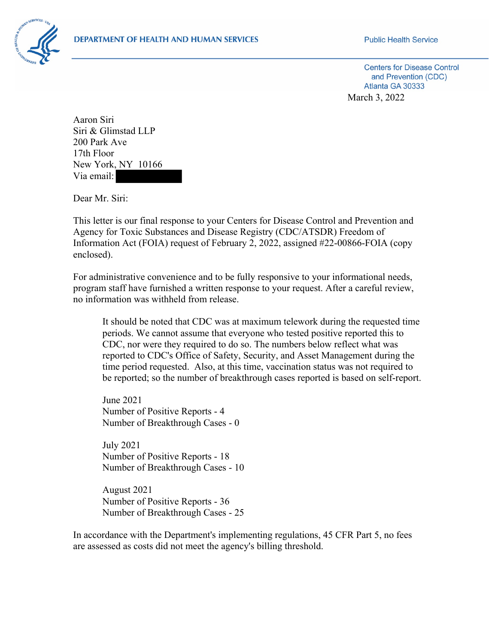## **DEPARTMENT OF HEALTH AND HUMAN SERVICES**



**Public Health Service** 

**Centers for Disease Control** and Prevention (CDC) Atlanta GA 30333 March 3, 2022

Aaron Siri Siri & Glimstad LLP 200 Park Ave 17th Floor New York, NY 10166 Via email:

Dear Mr. Siri:

This letter is our final response to your Centers for Disease Control and Prevention and Agency for Toxic Substances and Disease Registry (CDC/ATSDR) Freedom of Information Act (FOIA) request of February 2, 2022, assigned #22-00866-FOIA (copy enclosed).

For administrative convenience and to be fully responsive to your informational needs, program staff have furnished a written response to your request. After a careful review, no information was withheld from release.

It should be noted that CDC was at maximum telework during the requested time periods. We cannot assume that everyone who tested positive reported this to CDC, nor were they required to do so. The numbers below reflect what was reported to CDC's Office of Safety, Security, and Asset Management during the time period requested. Also, at this time, vaccination status was not required to be reported; so the number of breakthrough cases reported is based on self-report.

June 2021 Number of Positive Reports - 4 Number of Breakthrough Cases - 0

July 2021 Number of Positive Reports - 18 Number of Breakthrough Cases - 10

August 2021 Number of Positive Reports - 36 Number of Breakthrough Cases - 25

In accordance with the Department's implementing regulations, 45 CFR Part 5, no fees are assessed as costs did not meet the agency's billing threshold.